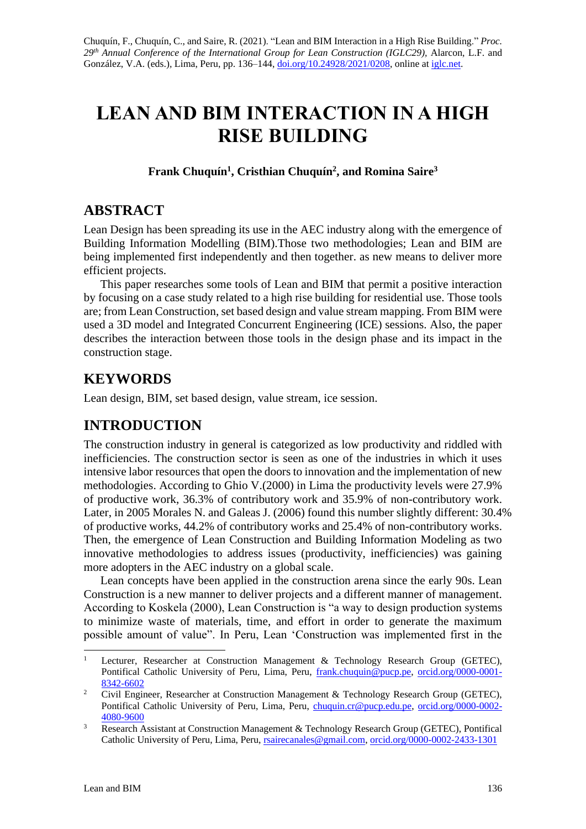# **LEAN AND BIM INTERACTION IN A HIGH RISE BUILDING**

**Frank Chuquín<sup>1</sup> , Cristhian Chuquín<sup>2</sup> , and Romina Saire<sup>3</sup>**

### **ABSTRACT**

Lean Design has been spreading its use in the AEC industry along with the emergence of Building Information Modelling (BIM).Those two methodologies; Lean and BIM are being implemented first independently and then together. as new means to deliver more efficient projects.

This paper researches some tools of Lean and BIM that permit a positive interaction by focusing on a case study related to a high rise building for residential use. Those tools are; from Lean Construction, set based design and value stream mapping. From BIM were used a 3D model and Integrated Concurrent Engineering (ICE) sessions. Also, the paper describes the interaction between those tools in the design phase and its impact in the construction stage.

## **KEYWORDS**

Lean design, BIM, set based design, value stream, ice session.

# **INTRODUCTION**

The construction industry in general is categorized as low productivity and riddled with inefficiencies. The construction sector is seen as one of the industries in which it uses intensive labor resources that open the doors to innovation and the implementation of new methodologies. According to Ghio V.(2000) in Lima the productivity levels were 27.9% of productive work, 36.3% of contributory work and 35.9% of non-contributory work. Later, in 2005 Morales N. and Galeas J. (2006) found this number slightly different: 30.4% of productive works, 44.2% of contributory works and 25.4% of non-contributory works. Then, the emergence of Lean Construction and Building Information Modeling as two innovative methodologies to address issues (productivity, inefficiencies) was gaining more adopters in the AEC industry on a global scale.

Lean concepts have been applied in the construction arena since the early 90s. Lean Construction is a new manner to deliver projects and a different manner of management. According to Koskela (2000), Lean Construction is "a way to design production systems to minimize waste of materials, time, and effort in order to generate the maximum possible amount of value". In Peru, Lean 'Construction was implemented first in the

<sup>&</sup>lt;sup>1</sup> Lecturer, Researcher at Construction Management  $\&$  Technology Research Group (GETEC), Pontifical Catholic University of Peru, Lima, Peru, [frank.chuquin@pucp.pe,](mailto:frank.chuquin@pucp.pe) [orcid.org/0000-0001-](https://orcid.org/0000-0001-8342-6602) [8342-6602](https://orcid.org/0000-0001-8342-6602)

<sup>&</sup>lt;sup>2</sup> Civil Engineer, Researcher at Construction Management & Technology Research Group (GETEC), Pontifical Catholic University of Peru, Lima, Peru, [chuquin.cr@pucp.edu.pe,](mailto:chuquin.cr@pucp.edu.pe) [orcid.org/0000-0002-](https://orcid.org/0000-0002-4080-9600) [4080-9600](https://orcid.org/0000-0002-4080-9600)

<sup>&</sup>lt;sup>3</sup> Research Assistant at Construction Management & Technology Research Group (GETEC), Pontifical Catholic University of Peru, Lima, Peru[, rsairecanales@gmail.com,](mailto:rsairecanales@gmail.com) [orcid.org/0000-0002-2433-1301](https://orcid.org/0000-0002-2433-1301)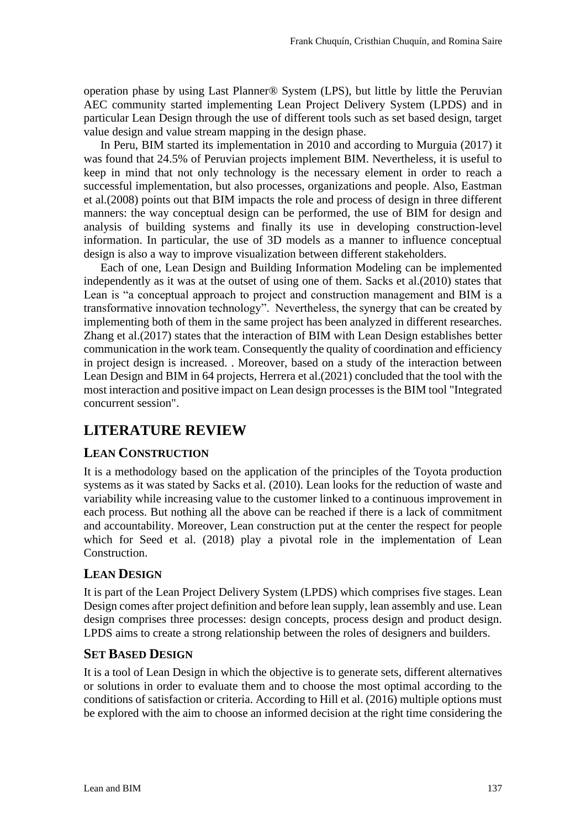operation phase by using Last Planner® System (LPS), but little by little the Peruvian AEC community started implementing Lean Project Delivery System (LPDS) and in particular Lean Design through the use of different tools such as set based design, target value design and value stream mapping in the design phase.

In Peru, BIM started its implementation in 2010 and according to Murguia (2017) it was found that 24.5% of Peruvian projects implement BIM. Nevertheless, it is useful to keep in mind that not only technology is the necessary element in order to reach a successful implementation, but also processes, organizations and people. Also, Eastman et al.(2008) points out that BIM impacts the role and process of design in three different manners: the way conceptual design can be performed, the use of BIM for design and analysis of building systems and finally its use in developing construction-level information. In particular, the use of 3D models as a manner to influence conceptual design is also a way to improve visualization between different stakeholders.

Each of one, Lean Design and Building Information Modeling can be implemented independently as it was at the outset of using one of them. Sacks et al.(2010) states that Lean is "a conceptual approach to project and construction management and BIM is a transformative innovation technology". Nevertheless, the synergy that can be created by implementing both of them in the same project has been analyzed in different researches. Zhang et al.(2017) states that the interaction of BIM with Lean Design establishes better communication in the work team. Consequently the quality of coordination and efficiency in project design is increased. . Moreover, based on a study of the interaction between Lean Design and BIM in 64 projects, Herrera et al.(2021) concluded that the tool with the most interaction and positive impact on Lean design processes is the BIM tool "Integrated concurrent session".

### **LITERATURE REVIEW**

### **LEAN CONSTRUCTION**

It is a methodology based on the application of the principles of the Toyota production systems as it was stated by Sacks et al. (2010). Lean looks for the reduction of waste and variability while increasing value to the customer linked to a continuous improvement in each process. But nothing all the above can be reached if there is a lack of commitment and accountability. Moreover, Lean construction put at the center the respect for people which for Seed et al. (2018) play a pivotal role in the implementation of Lean Construction.

### **LEAN DESIGN**

It is part of the Lean Project Delivery System (LPDS) which comprises five stages. Lean Design comes after project definition and before lean supply, lean assembly and use. Lean design comprises three processes: design concepts, process design and product design. LPDS aims to create a strong relationship between the roles of designers and builders.

### **SET BASED DESIGN**

It is a tool of Lean Design in which the objective is to generate sets, different alternatives or solutions in order to evaluate them and to choose the most optimal according to the conditions of satisfaction or criteria. According to Hill et al. (2016) multiple options must be explored with the aim to choose an informed decision at the right time considering the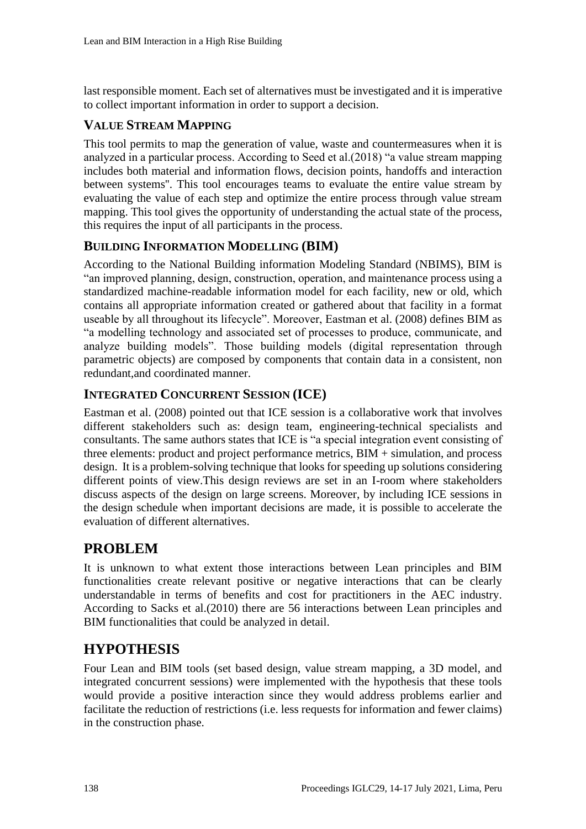last responsible moment. Each set of alternatives must be investigated and it is imperative to collect important information in order to support a decision.

### **VALUE STREAM MAPPING**

This tool permits to map the generation of value, waste and countermeasures when it is analyzed in a particular process. According to Seed et al.(2018) "a value stream mapping includes both material and information flows, decision points, handoffs and interaction between systems''. This tool encourages teams to evaluate the entire value stream by evaluating the value of each step and optimize the entire process through value stream mapping. This tool gives the opportunity of understanding the actual state of the process, this requires the input of all participants in the process.

#### **BUILDING INFORMATION MODELLING (BIM)**

According to the National Building information Modeling Standard (NBIMS), BIM is "an improved planning, design, construction, operation, and maintenance process using a standardized machine-readable information model for each facility, new or old, which contains all appropriate information created or gathered about that facility in a format useable by all throughout its lifecycle". Moreover, Eastman et al. (2008) defines BIM as "a modelling technology and associated set of processes to produce, communicate, and analyze building models". Those building models (digital representation through parametric objects) are composed by components that contain data in a consistent, non redundant,and coordinated manner.

#### **INTEGRATED CONCURRENT SESSION (ICE)**

Eastman et al. (2008) pointed out that ICE session is a collaborative work that involves different stakeholders such as: design team, engineering-technical specialists and consultants. The same authors states that ICE is "a special integration event consisting of three elements: product and project performance metrics, BIM + simulation, and process design. It is a problem-solving technique that looks for speeding up solutions considering different points of view.This design reviews are set in an I-room where stakeholders discuss aspects of the design on large screens. Moreover, by including ICE sessions in the design schedule when important decisions are made, it is possible to accelerate the evaluation of different alternatives.

### **PROBLEM**

It is unknown to what extent those interactions between Lean principles and BIM functionalities create relevant positive or negative interactions that can be clearly understandable in terms of benefits and cost for practitioners in the AEC industry. According to Sacks et al.(2010) there are 56 interactions between Lean principles and BIM functionalities that could be analyzed in detail.

### **HYPOTHESIS**

Four Lean and BIM tools (set based design, value stream mapping, a 3D model, and integrated concurrent sessions) were implemented with the hypothesis that these tools would provide a positive interaction since they would address problems earlier and facilitate the reduction of restrictions (i.e. less requests for information and fewer claims) in the construction phase.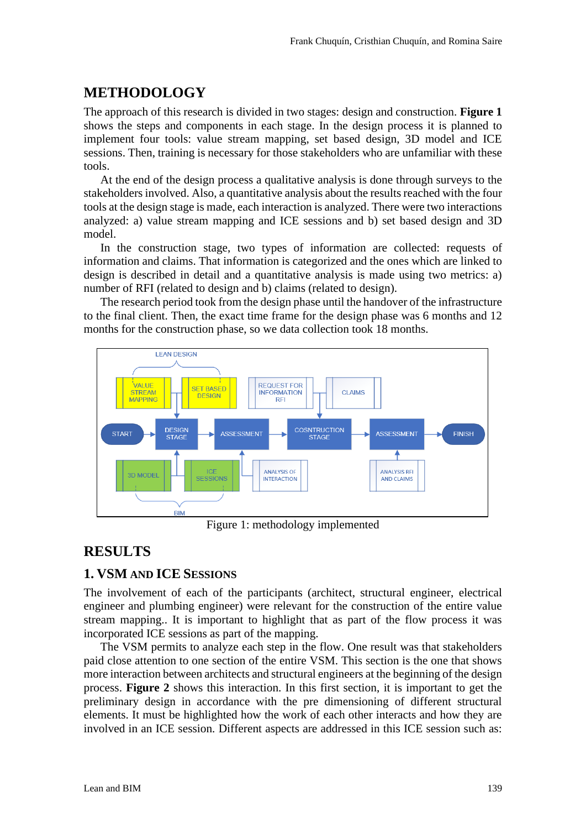### **METHODOLOGY**

The approach of this research is divided in two stages: design and construction. **Figure 1** shows the steps and components in each stage. In the design process it is planned to implement four tools: value stream mapping, set based design, 3D model and ICE sessions. Then, training is necessary for those stakeholders who are unfamiliar with these tools.

At the end of the design process a qualitative analysis is done through surveys to the stakeholders involved. Also, a quantitative analysis about the results reached with the four tools at the design stage is made, each interaction is analyzed. There were two interactions analyzed: a) value stream mapping and ICE sessions and b) set based design and 3D model.

In the construction stage, two types of information are collected: requests of information and claims. That information is categorized and the ones which are linked to design is described in detail and a quantitative analysis is made using two metrics: a) number of RFI (related to design and b) claims (related to design).

The research period took from the design phase until the handover of the infrastructure to the final client. Then, the exact time frame for the design phase was 6 months and 12 months for the construction phase, so we data collection took 18 months.



Figure 1: methodology implemented

### **RESULTS**

### **1. VSM AND ICE SESSIONS**

The involvement of each of the participants (architect, structural engineer, electrical engineer and plumbing engineer) were relevant for the construction of the entire value stream mapping.. It is important to highlight that as part of the flow process it was incorporated ICE sessions as part of the mapping.

The VSM permits to analyze each step in the flow. One result was that stakeholders paid close attention to one section of the entire VSM. This section is the one that shows more interaction between architects and structural engineers at the beginning of the design process. **Figure 2** shows this interaction. In this first section, it is important to get the preliminary design in accordance with the pre dimensioning of different structural elements. It must be highlighted how the work of each other interacts and how they are involved in an ICE session. Different aspects are addressed in this ICE session such as: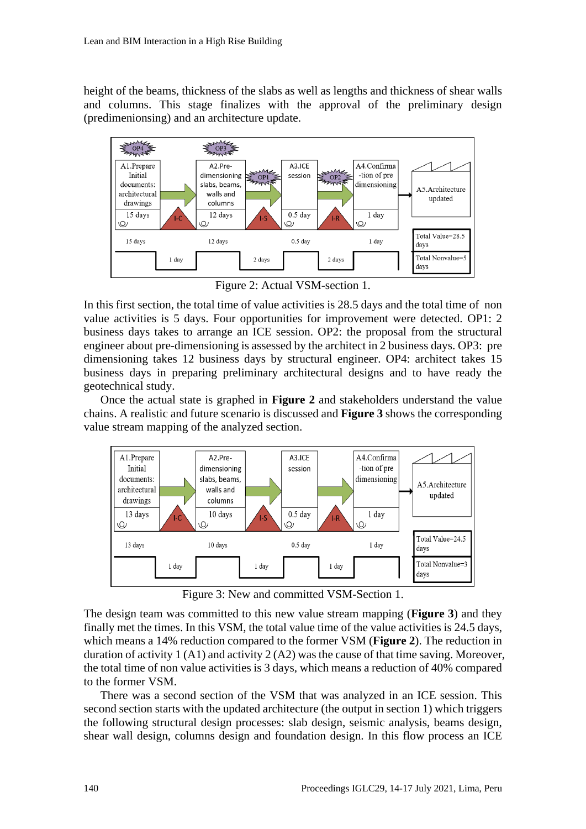height of the beams, thickness of the slabs as well as lengths and thickness of shear walls and columns. This stage finalizes with the approval of the preliminary design (predimenionsing) and an architecture update.



Figure 2: Actual VSM-section 1.

In this first section, the total time of value activities is 28.5 days and the total time of non value activities is 5 days. Four opportunities for improvement were detected. OP1: 2 business days takes to arrange an ICE session. OP2: the proposal from the structural engineer about pre-dimensioning is assessed by the architect in 2 business days. OP3: pre dimensioning takes 12 business days by structural engineer. OP4: architect takes 15 business days in preparing preliminary architectural designs and to have ready the geotechnical study.

Once the actual state is graphed in **Figure 2** and stakeholders understand the value chains. A realistic and future scenario is discussed and **Figure 3** shows the corresponding value stream mapping of the analyzed section.



Figure 3: New and committed VSM-Section 1.

The design team was committed to this new value stream mapping (**Figure 3**) and they finally met the times. In this VSM, the total value time of the value activities is 24.5 days, which means a 14% reduction compared to the former VSM (**Figure 2**). The reduction in duration of activity 1 (A1) and activity 2 (A2) was the cause of that time saving. Moreover, the total time of non value activities is 3 days, which means a reduction of 40% compared to the former VSM.

There was a second section of the VSM that was analyzed in an ICE session. This second section starts with the updated architecture (the output in section 1) which triggers the following structural design processes: slab design, seismic analysis, beams design, shear wall design, columns design and foundation design. In this flow process an ICE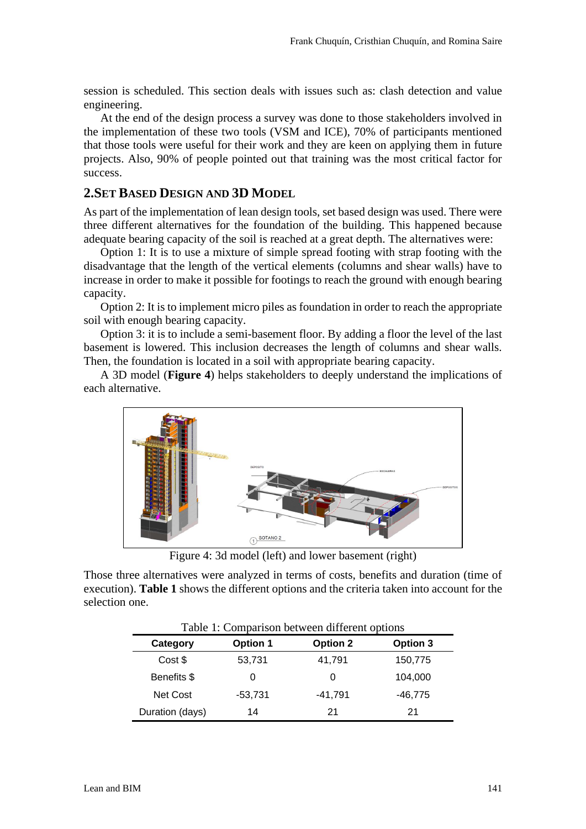session is scheduled. This section deals with issues such as: clash detection and value engineering.

At the end of the design process a survey was done to those stakeholders involved in the implementation of these two tools (VSM and ICE), 70% of participants mentioned that those tools were useful for their work and they are keen on applying them in future projects. Also, 90% of people pointed out that training was the most critical factor for success.

#### **2.SET BASED DESIGN AND 3D MODEL**

As part of the implementation of lean design tools, set based design was used. There were three different alternatives for the foundation of the building. This happened because adequate bearing capacity of the soil is reached at a great depth. The alternatives were:

Option 1: It is to use a mixture of simple spread footing with strap footing with the disadvantage that the length of the vertical elements (columns and shear walls) have to increase in order to make it possible for footings to reach the ground with enough bearing capacity.

Option 2: It is to implement micro piles as foundation in order to reach the appropriate soil with enough bearing capacity.

Option 3: it is to include a semi-basement floor. By adding a floor the level of the last basement is lowered. This inclusion decreases the length of columns and shear walls. Then, the foundation is located in a soil with appropriate bearing capacity.

A 3D model (**Figure 4**) helps stakeholders to deeply understand the implications of each alternative.



Figure 4: 3d model (left) and lower basement (right)

Those three alternatives were analyzed in terms of costs, benefits and duration (time of execution). **Table 1** shows the different options and the criteria taken into account for the selection one.

| Table 1: Comparison between different options |                 |                 |           |  |  |  |
|-----------------------------------------------|-----------------|-----------------|-----------|--|--|--|
| Category                                      | <b>Option 1</b> | <b>Option 2</b> | Option 3  |  |  |  |
| Cost \$                                       | 53,731          | 41,791          | 150,775   |  |  |  |
| Benefits \$                                   |                 | 0               | 104,000   |  |  |  |
| Net Cost                                      | -53,731         | -41,791         | $-46,775$ |  |  |  |
| Duration (days)                               | 14              | 21              | 21        |  |  |  |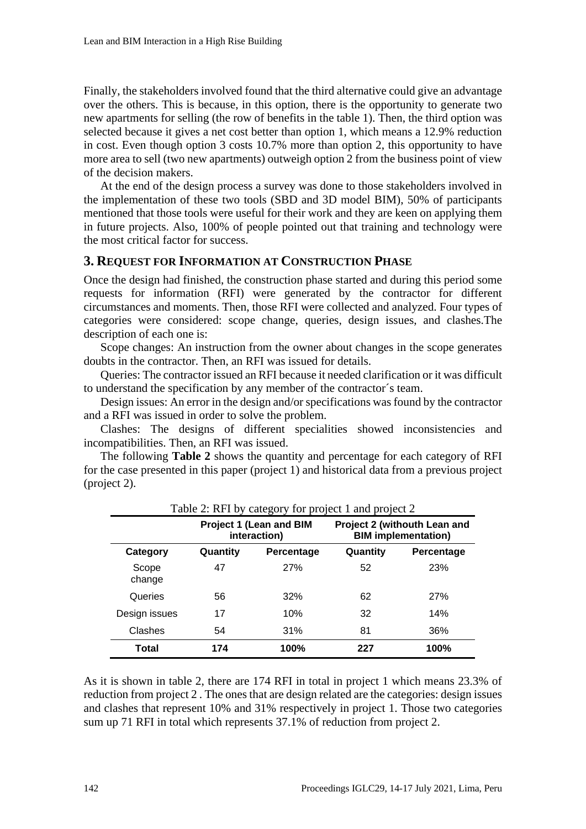Finally, the stakeholders involved found that the third alternative could give an advantage over the others. This is because, in this option, there is the opportunity to generate two new apartments for selling (the row of benefits in the table 1). Then, the third option was selected because it gives a net cost better than option 1, which means a 12.9% reduction in cost. Even though option 3 costs 10.7% more than option 2, this opportunity to have more area to sell (two new apartments) outweigh option 2 from the business point of view of the decision makers.

At the end of the design process a survey was done to those stakeholders involved in the implementation of these two tools (SBD and 3D model BIM), 50% of participants mentioned that those tools were useful for their work and they are keen on applying them in future projects. Also, 100% of people pointed out that training and technology were the most critical factor for success.

#### **3. REQUEST FOR INFORMATION AT CONSTRUCTION PHASE**

Once the design had finished, the construction phase started and during this period some requests for information (RFI) were generated by the contractor for different circumstances and moments. Then, those RFI were collected and analyzed. Four types of categories were considered: scope change, queries, design issues, and clashes.The description of each one is:

Scope changes: An instruction from the owner about changes in the scope generates doubts in the contractor. Then, an RFI was issued for details.

Queries: The contractor issued an RFI because it needed clarification or it was difficult to understand the specification by any member of the contractor´s team.

Design issues: An error in the design and/or specifications was found by the contractor and a RFI was issued in order to solve the problem.

Clashes: The designs of different specialities showed inconsistencies and incompatibilities. Then, an RFI was issued.

The following **Table 2** shows the quantity and percentage for each category of RFI for the case presented in this paper (project 1) and historical data from a previous project (project 2).

| Table 2: RFI by category for project 1 and project 2 |                                         |            |                                                            |            |  |  |  |
|------------------------------------------------------|-----------------------------------------|------------|------------------------------------------------------------|------------|--|--|--|
|                                                      | Project 1 (Lean and BIM<br>interaction) |            | Project 2 (withouth Lean and<br><b>BIM</b> implementation) |            |  |  |  |
| Category                                             | Quantity                                | Percentage | Quantity                                                   | Percentage |  |  |  |
| Scope<br>change                                      | 47                                      | <b>27%</b> | 52                                                         | 23%        |  |  |  |
| Queries                                              | 56                                      | 32%        | 62                                                         | <b>27%</b> |  |  |  |
| Design issues                                        | 17                                      | 10%        | 32                                                         | 14%        |  |  |  |
| Clashes                                              | 54                                      | 31%        | 81                                                         | 36%        |  |  |  |
| Total                                                | 174                                     | 100%       | 227                                                        | 100%       |  |  |  |

As it is shown in table 2, there are 174 RFI in total in project 1 which means 23.3% of reduction from project 2 . The ones that are design related are the categories: design issues and clashes that represent 10% and 31% respectively in project 1. Those two categories sum up 71 RFI in total which represents 37.1% of reduction from project 2.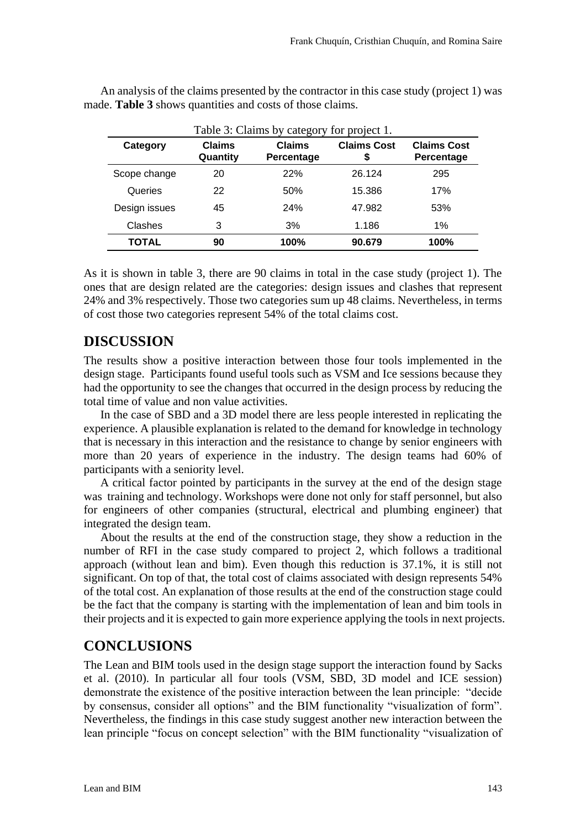| Table 3: Claims by category for project 1. |                           |                             |                          |                                         |  |  |
|--------------------------------------------|---------------------------|-----------------------------|--------------------------|-----------------------------------------|--|--|
| Category                                   | <b>Claims</b><br>Quantity | <b>Claims</b><br>Percentage | <b>Claims Cost</b><br>\$ | <b>Claims Cost</b><br><b>Percentage</b> |  |  |
| Scope change                               | 20                        | 22%                         | 26.124                   | 295                                     |  |  |
| Queries                                    | 22                        | 50%                         | 15.386                   | 17%                                     |  |  |
| Design issues                              | 45                        | 24%                         | 47.982                   | 53%                                     |  |  |
| Clashes                                    | 3                         | 3%                          | 1.186                    | $1\%$                                   |  |  |
| TOTAL                                      | 90                        | 100%                        | 90.679                   | 100%                                    |  |  |

An analysis of the claims presented by the contractor in this case study (project 1) was made. **Table 3** shows quantities and costs of those claims.

As it is shown in table 3, there are 90 claims in total in the case study (project 1). The ones that are design related are the categories: design issues and clashes that represent 24% and 3% respectively. Those two categories sum up 48 claims. Nevertheless, in terms of cost those two categories represent 54% of the total claims cost.

### **DISCUSSION**

The results show a positive interaction between those four tools implemented in the design stage. Participants found useful tools such as VSM and Ice sessions because they had the opportunity to see the changes that occurred in the design process by reducing the total time of value and non value activities.

In the case of SBD and a 3D model there are less people interested in replicating the experience. A plausible explanation is related to the demand for knowledge in technology that is necessary in this interaction and the resistance to change by senior engineers with more than 20 years of experience in the industry. The design teams had 60% of participants with a seniority level.

A critical factor pointed by participants in the survey at the end of the design stage was training and technology. Workshops were done not only for staff personnel, but also for engineers of other companies (structural, electrical and plumbing engineer) that integrated the design team.

About the results at the end of the construction stage, they show a reduction in the number of RFI in the case study compared to project 2, which follows a traditional approach (without lean and bim). Even though this reduction is 37.1%, it is still not significant. On top of that, the total cost of claims associated with design represents 54% of the total cost. An explanation of those results at the end of the construction stage could be the fact that the company is starting with the implementation of lean and bim tools in their projects and it is expected to gain more experience applying the tools in next projects.

### **CONCLUSIONS**

The Lean and BIM tools used in the design stage support the interaction found by Sacks et al. (2010). In particular all four tools (VSM, SBD, 3D model and ICE session) demonstrate the existence of the positive interaction between the lean principle: "decide by consensus, consider all options" and the BIM functionality "visualization of form". Nevertheless, the findings in this case study suggest another new interaction between the lean principle "focus on concept selection" with the BIM functionality "visualization of